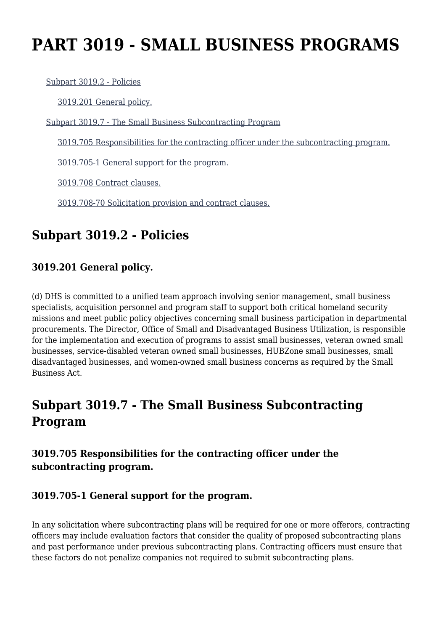# **PART 3019 - SMALL BUSINESS PROGRAMS**

[Subpart 3019.2 - Policies](https://origin-www.acquisition.gov/%5Brp:link:hsar-part-3019%5D#Subpart_3019_2_T48_70211201)

[3019.201 General policy.](https://origin-www.acquisition.gov/%5Brp:link:hsar-part-3019%5D#Section_3019_201_T48_7021120111)

[Subpart 3019.7 - The Small Business Subcontracting Program](https://origin-www.acquisition.gov/%5Brp:link:hsar-part-3019%5D#Subpart_3019_7_T48_70211202)

[3019.705 Responsibilities for the contracting officer under the subcontracting program.](https://origin-www.acquisition.gov/%5Brp:link:hsar-part-3019%5D#Section_3019_705_T48_7021120211)

[3019.705-1 General support for the program.](https://origin-www.acquisition.gov/%5Brp:link:hsar-part-3019%5D#Section_3019_705_1_T48_7021120212)

[3019.708 Contract clauses.](https://origin-www.acquisition.gov/%5Brp:link:hsar-part-3019%5D#Section_3019_708_T48_7021120213)

[3019.708-70 Solicitation provision and contract clauses.](https://origin-www.acquisition.gov/%5Brp:link:hsar-part-3019%5D#Section_3019_708_70_T48_7021120214)

## **Subpart 3019.2 - Policies**

## **3019.201 General policy.**

(d) DHS is committed to a unified team approach involving senior management, small business specialists, acquisition personnel and program staff to support both critical homeland security missions and meet public policy objectives concerning small business participation in departmental procurements. The Director, Office of Small and Disadvantaged Business Utilization, is responsible for the implementation and execution of programs to assist small businesses, veteran owned small businesses, service-disabled veteran owned small businesses, HUBZone small businesses, small disadvantaged businesses, and women-owned small business concerns as required by the Small Business Act.

# **Subpart 3019.7 - The Small Business Subcontracting Program**

## **3019.705 Responsibilities for the contracting officer under the subcontracting program.**

## **3019.705-1 General support for the program.**

In any solicitation where subcontracting plans will be required for one or more offerors, contracting officers may include evaluation factors that consider the quality of proposed subcontracting plans and past performance under previous subcontracting plans. Contracting officers must ensure that these factors do not penalize companies not required to submit subcontracting plans.